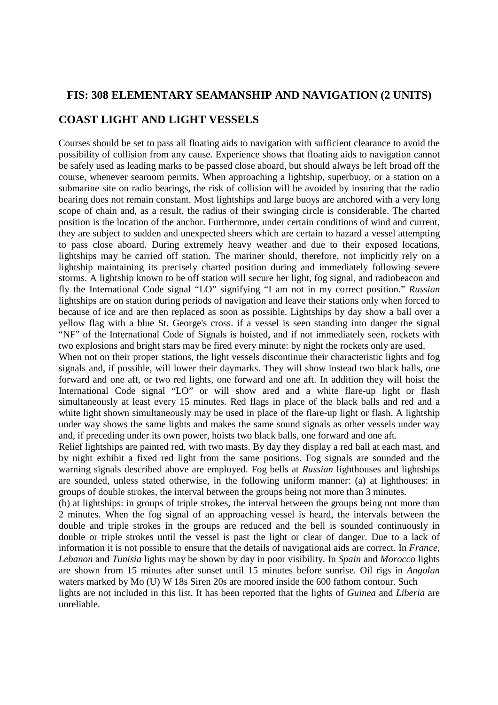# **FIS: 308 ELEMENTARY SEAMANSHIP AND NAVIGATION (2 UNITS)**

# **COAST LIGHT AND LIGHT VESSELS**

Courses should be set to pass all floating aids to navigation with sufficient clearance to avoid the possibility of collision from any cause. Experience shows that floating aids to navigation cannot be safely used as leading marks to be passed close aboard, but should always be left broad off the course, whenever searoom permits. When approaching a lightship, superbuoy, or a station on a submarine site on radio bearings, the risk of collision will be avoided by insuring that the radio bearing does not remain constant. Most lightships and large buoys are anchored with a very long scope of chain and, as a result, the radius of their swinging circle is considerable. The charted position is the location of the anchor. Furthermore, under certain conditions of wind and current, they are subject to sudden and unexpected sheers which are certain to hazard a vessel attempting to pass close aboard. During extremely heavy weather and due to their exposed locations, lightships may be carried off station. The mariner should, therefore, not implicitly rely on a lightship maintaining its precisely charted position during and immediately following severe storms. A lightship known to be off station will secure her light, fog signal, and radiobeacon and fly the International Code signal "LO" signifying "I am not in my correct position." *Russian*  lightships are on station during periods of navigation and leave their stations only when forced to because of ice and are then replaced as soon as possible. Lightships by day show a ball over a yellow flag with a blue St. George's cross. if a vessel is seen standing into danger the signal "NF" of the International Code of Signals is hoisted, and if not immediately seen, rockets with two explosions and bright stars may be fired every minute: by night the rockets only are used.

When not on their proper stations, the light vessels discontinue their characteristic lights and fog signals and, if possible, will lower their daymarks. They will show instead two black balls, one forward and one aft, or two red lights, one forward and one aft. In addition they will hoist the International Code signal "LO" or will show ared and a white flare-up light or flash simultaneously at least every 15 minutes. Red flags in place of the black balls and red and a white light shown simultaneously may be used in place of the flare-up light or flash. A lightship under way shows the same lights and makes the same sound signals as other vessels under way and, if preceding under its own power, hoists two black balls, one forward and one aft.

Relief lightships are painted red, with two masts. By day they display a red ball at each mast, and by night exhibit a fixed red light from the same positions. Fog signals are sounded and the warning signals described above are employed. Fog bells at *Russian* lighthouses and lightships are sounded, unless stated otherwise, in the following uniform manner: (a) at lighthouses: in groups of double strokes, the interval between the groups being not more than 3 minutes.

(b) at lightships: in groups of triple strokes, the interval between the groups being not more than 2 minutes. When the fog signal of an approaching vessel is heard, the intervals between the double and triple strokes in the groups are reduced and the bell is sounded continuously in double or triple strokes until the vessel is past the light or clear of danger. Due to a lack of information it is not possible to ensure that the details of navigational aids are correct. In *France, Lebanon* and *Tunisia* lights may be shown by day in poor visibility. In *Spain* and *Morocco* lights are shown from 15 minutes after sunset until 15 minutes before sunrise. Oil rigs in *Angolan*  waters marked by Mo (U) W 18s Siren 20s are moored inside the 600 fathom contour. Such lights are not included in this list. It has been reported that the lights of *Guinea* and *Liberia* are unreliable.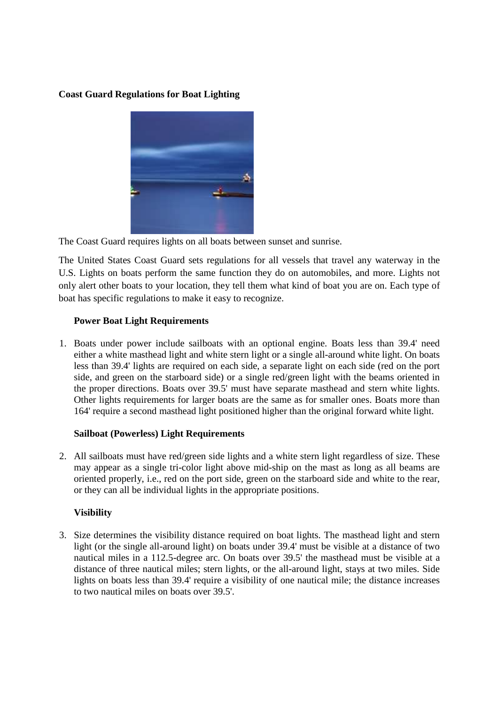# **Coast Guard Regulations for Boat Lighting**



The Coast Guard requires lights on all boats between sunset and sunrise.

The United States Coast Guard sets regulations for all vessels that travel any waterway in the U.S. Lights on boats perform the same function they do on automobiles, and more. Lights not only alert other boats to your location, they tell them what kind of boat you are on. Each type of boat has specific regulations to make it easy to recognize.

# **Power Boat Light Requirements**

1. Boats under power include sailboats with an optional engine. Boats less than 39.4' need either a white masthead light and white stern light or a single all-around white light. On boats less than 39.4' lights are required on each side, a separate light on each side (red on the port side, and green on the starboard side) or a single red/green light with the beams oriented in the proper directions. Boats over 39.5' must have separate masthead and stern white lights. Other lights requirements for larger boats are the same as for smaller ones. Boats more than 164' require a second masthead light positioned higher than the original forward white light.

# **Sailboat (Powerless) Light Requirements**

2. All sailboats must have red/green side lights and a white stern light regardless of size. These may appear as a single tri-color light above mid-ship on the mast as long as all beams are oriented properly, i.e., red on the port side, green on the starboard side and white to the rear, or they can all be individual lights in the appropriate positions.

# **Visibility**

3. Size determines the visibility distance required on boat lights. The masthead light and stern light (or the single all-around light) on boats under 39.4' must be visible at a distance of two nautical miles in a 112.5-degree arc. On boats over 39.5' the masthead must be visible at a distance of three nautical miles; stern lights, or the all-around light, stays at two miles. Side lights on boats less than 39.4' require a visibility of one nautical mile; the distance increases to two nautical miles on boats over 39.5'.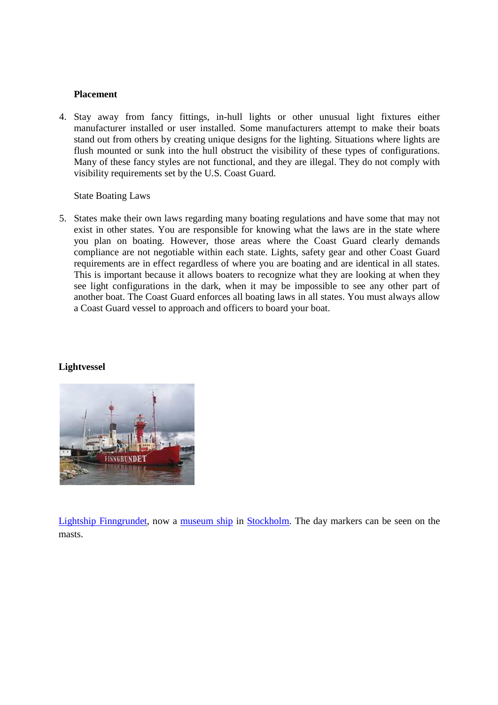#### **Placement**

4. Stay away from fancy fittings, in-hull lights or other unusual light fixtures either manufacturer installed or user installed. Some manufacturers attempt to make their boats stand out from others by creating unique designs for the lighting. Situations where lights are flush mounted or sunk into the hull obstruct the visibility of these types of configurations. Many of these fancy styles are not functional, and they are illegal. They do not comply with visibility requirements set by the U.S. Coast Guard.

#### State Boating Laws

5. States make their own laws regarding many boating regulations and have some that may not exist in other states. You are responsible for knowing what the laws are in the state where you plan on boating. However, those areas where the Coast Guard clearly demands compliance are not negotiable within each state. Lights, safety gear and other Coast Guard requirements are in effect regardless of where you are boating and are identical in all states. This is important because it allows boaters to recognize what they are looking at when they see light configurations in the dark, when it may be impossible to see any other part of another boat. The Coast Guard enforces all boating laws in all states. You must always allow a Coast Guard vessel to approach and officers to board your boat.

#### **Lightvessel**



Lightship Finngrundet, now a museum ship in Stockholm. The day markers can be seen on the masts.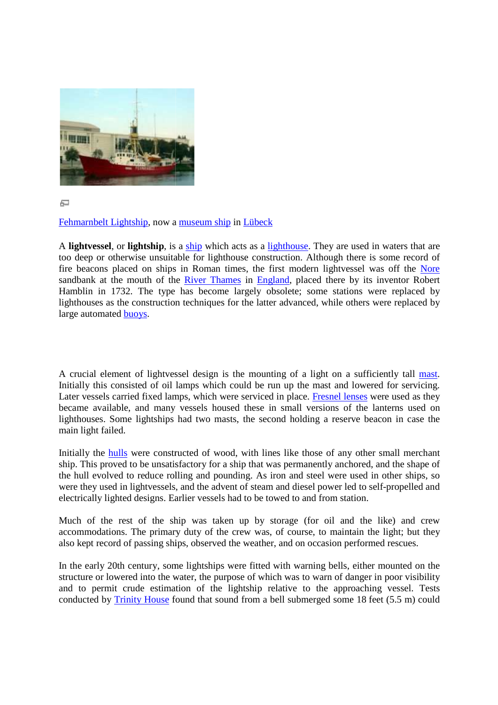

石

Fehmarnbelt Lightship, now a museum ship in Lübeck

A **lightvessel**, or **lightship**, is a ship which acts as a lighthouse. They are used in waters that are too deep or otherwise unsuitable for lighthouse construction. Although there is some record of fire beacons placed on ships in Roman times, the first modern lightvessel was off the sandbank at the mouth of the **River Thames** in **England**, placed there by its inventor Robert Hamblin in 1732. The type has become largely obsolete; some stations were replaced by lighthouses as the construction techniques for the latter advanced, while others were replaced by large automated buoys. become largely obsolete; some stations were replaced by<br>miques for the latter advanced, while others were replaced by<br>esign is the mounting of a light on a sufficiently tall mast.<br>which could be run up the mast and lowered . They are used in waters that are<br>Although there is some record of<br>ern lightvessel was off the <u>Nore</u> obsolete; some stations were replaced by<br>ter advanced, while others were replaced by<br>nting of a light on a sufficiently tall mast.

A crucial element of lightvessel design is the mounting of a light on a sufficiently tall mast. Initially this consisted of oil lamps which could be run up the mast and lowered for servicing. Initially this consisted of oil lamps which could be run up the mast and lowered for servicing.<br>Later vessels carried fixed lamps, which were serviced in place. Fresnel lenses were used as they became available, and many vessels housed these in small versions of the lanterns used on lighthouses. Some lightships had two masts, the second holding a reserve beacon in case the main light failed.

Initially the **hulls** were constructed of wood, with lines like those of any other small merchant ship. This proved to be unsatisfactory for a ship that was permanently anchored, and the shape of the hull evolved to reduce rolling and pounding. As iron and steel were used in other ships, so were they used in lightvessels, and the advent of steam and diesel power led to self-propelled and electrically lighted designs. Earlier vessels had to be towed to and from s ulls were constructed of wood, with lines like those of any other<br>ved to be unsatisfactory for a ship that was permanently anchored, a<br>ed to reduce rolling and pounding. As iron and steel were used in<br>d in lightvessels, an many vessels housed these in small versions of the lanterns used on tships had two masts, the second holding a reserve beacon in case the constructed of wood, with lines like those of any other small merchant unsatisfactor

Much of the rest of the ship was taken up by storage (for oil and the like) and crew accommodations. The primary duty of the crew was, of course, to maintain the light; but they also kept record of passing ships, observed the weather, and on occasion performed rescues. for oil and the like) and online.<br>
e, to maintain the light; but<br>
occasion performed rescues.

In the early 20th century, some lightships were fitted with warning bells, either mounted on the structure or lowered into the water, the purpose of which was to warn of danger in poor visibility and to permit crude estimation of the lightship relative to the approaching vessel. Tests conducted by Trinity House found that sound from a bell submerged some 18 feet (5.5 m) could In century, some lightships were fitted with warning bells, either mounted on the ered into the water, the purpose of which was to warn of danger in poor visibility crude estimation of the lightship relative to the approac m station.<br>1 and the like) and crew<br>maintain the light; but they<br>on performed rescues.<br>bells, either mounted on the<br>of danger in poor visibility<br>approaching vessel. Tests<br>some 18 feet (5.5 m) could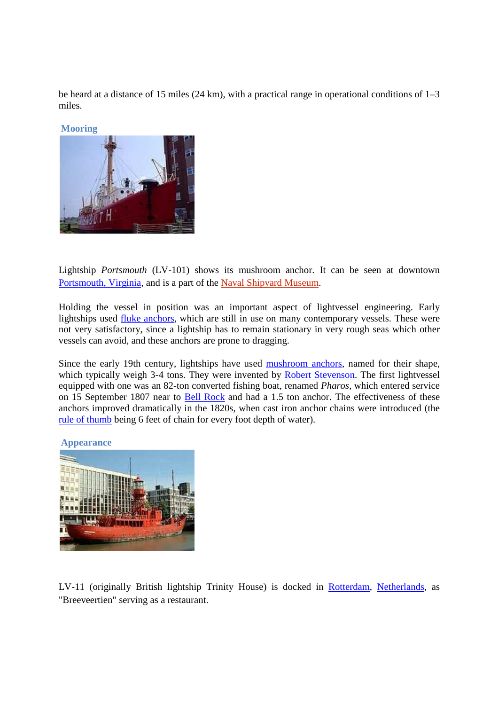be heard at a distance of 15 miles (24 km), with a practical range in operational conditions of 1–3 miles.



Lightship *Portsmouth* (LV-101) shows its mushroom anchor. It can be seen at downtown Portsmouth, Virginia, and is a part of the Naval Shipyard Museum.

Holding the vessel in position was an important aspect of lightvessel engineering. Early lightships used fluke anchors, which are still in use on many contemporary vessels. These were not very satisfactory, since a lightship has to remain stationary in very rough seas which other vessels can avoid, and these anchors are prone to dragging.

Since the early 19th century, lightships have used mushroom anchors, named for their shape, which typically weigh 3-4 tons. They were invented by Robert Stevenson. The first lightvessel equipped with one was an 82-ton converted fishing boat, renamed *Pharos*, which entered service on 15 September 1807 near to Bell Rock and had a 1.5 ton anchor. The effectiveness of these anchors improved dramatically in the 1820s, when cast iron anchor chains were introduced (the rule of thumb being 6 feet of chain for every foot depth of water).



LV-11 (originally British lightship Trinity House) is docked in Rotterdam, Netherlands, as "Breeveertien" serving as a restaurant.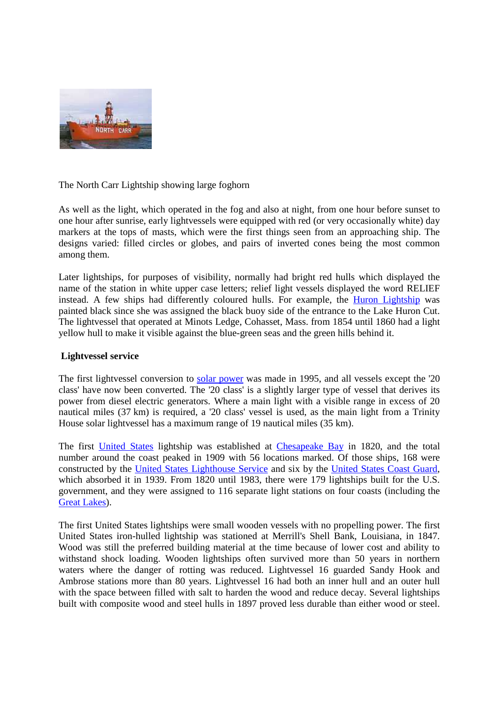

The North Carr Lightship showing large foghorn

As well as the light, which operated in the fog and also at night, from one hour before sunset to one hour after sunrise, early lightvessels were equipped with red (or very occasionally white) day markers at the tops of masts, which were the first things seen from an approaching ship. The designs varied: filled circles or globes, and pairs of inverted cones being the most common among them.

Later lightships, for purposes of visibility, normally had bright red hulls which displayed the name of the station in white upper case letters; relief light vessels displayed the word RELIEF instead. A few ships had differently coloured hulls. For example, the Huron Lightship was painted black since she was assigned the black buoy side of the entrance to the Lake Huron Cut. The lightvessel that operated at Minots Ledge, Cohasset, Mass. from 1854 until 1860 had a light yellow hull to make it visible against the blue-green seas and the green hills behind it.

# **Lightvessel service**

The first lightvessel conversion to solar power was made in 1995, and all vessels except the '20 class' have now been converted. The '20 class' is a slightly larger type of vessel that derives its power from diesel electric generators. Where a main light with a visible range in excess of 20 nautical miles (37 km) is required, a '20 class' vessel is used, as the main light from a Trinity House solar lightvessel has a maximum range of 19 nautical miles (35 km).

The first United States lightship was established at Chesapeake Bay in 1820, and the total number around the coast peaked in 1909 with 56 locations marked. Of those ships, 168 were constructed by the United States Lighthouse Service and six by the United States Coast Guard, which absorbed it in 1939. From 1820 until 1983, there were 179 lightships built for the U.S. government, and they were assigned to 116 separate light stations on four coasts (including the Great Lakes).

The first United States lightships were small wooden vessels with no propelling power. The first United States iron-hulled lightship was stationed at Merrill's Shell Bank, Louisiana, in 1847. Wood was still the preferred building material at the time because of lower cost and ability to withstand shock loading. Wooden lightships often survived more than 50 years in northern waters where the danger of rotting was reduced. Lightvessel 16 guarded Sandy Hook and Ambrose stations more than 80 years. Lightvessel 16 had both an inner hull and an outer hull with the space between filled with salt to harden the wood and reduce decay. Several lightships built with composite wood and steel hulls in 1897 proved less durable than either wood or steel.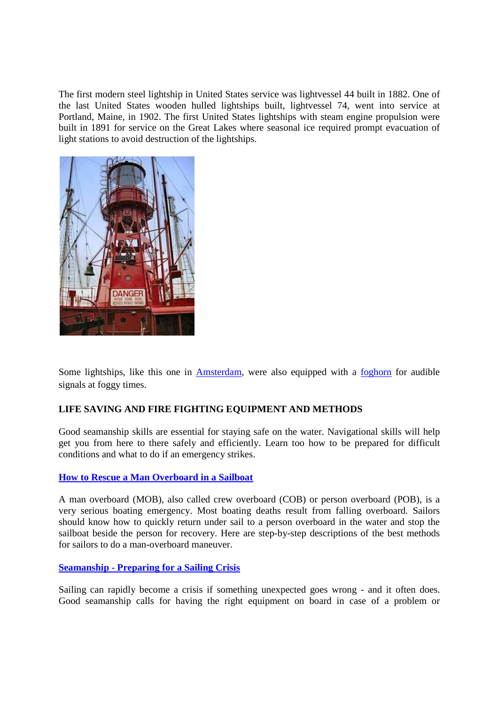The first modern steel lightship in United States service was lightvessel 44 built in 1882. One of the last United States wooden hulled lightships built, lightvessel 74, went into service at Portland, Maine, in 1902. The first United States lightships with steam engine propulsion were built in 1891 for service on the Great Lakes where seasonal ice required prompt evacuation of light stations to avoid destruction of the lightships.



Some lightships, like this one in Amsterdam, were also equipped with a foghorn for audible signals at foggy times.

# **LIFE SAVING AND FIRE FIGHTING EQUIPMENT AND METHODS**

Good seamanship skills are essential for staying safe on the water. Navigational skills will help get you from here to there safely and efficiently. Learn too how to be prepared for difficult conditions and what to do if an emergency strikes.

# **How to Rescue a Man Overboard in a Sailboat**

A man overboard (MOB), also called crew overboard (COB) or person overboard (POB), is a very serious boating emergency. Most boating deaths result from falling overboard. Sailors should know how to quickly return under sail to a person overboard in the water and stop the sailboat beside the person for recovery. Here are step-by-step descriptions of the best methods for sailors to do a man-overboard maneuver.

# **Seamanship - Preparing for a Sailing Crisis**

Sailing can rapidly become a crisis if something unexpected goes wrong - and it often does. Good seamanship calls for having the right equipment on board in case of a problem or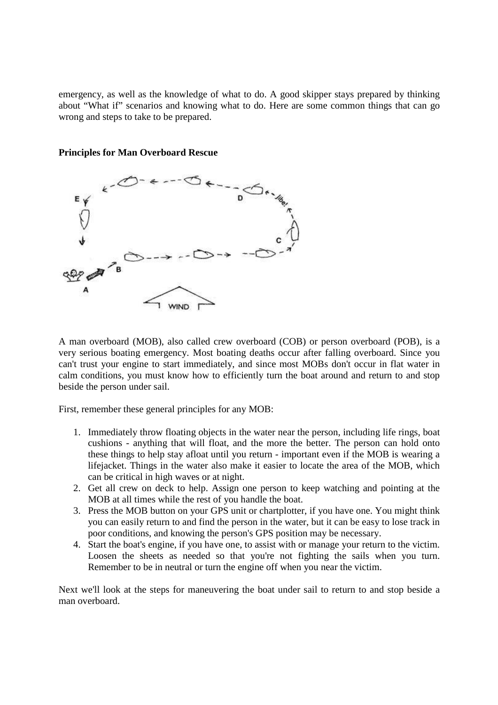emergency, as well as the knowledge of what to do. A good skipper stays prepared by thinking about "What if" scenarios and knowing what to do. Here are some common things that can go wrong and steps to take to be prepared.



#### **Principles for Man Overboard Rescue**

A man overboard (MOB), also called crew overboard (COB) or person overboard (POB), is a very serious boating emergency. Most boating deaths occur after falling overboard. Since you can't trust your engine to start immediately, and since most MOBs don't occur in flat water in calm conditions, you must know how to efficiently turn the boat around and return to and stop beside the person under sail.

First, remember these general principles for any MOB:

- 1. Immediately throw floating objects in the water near the person, including life rings, boat cushions - anything that will float, and the more the better. The person can hold onto these things to help stay afloat until you return - important even if the MOB is wearing a lifejacket. Things in the water also make it easier to locate the area of the MOB, which can be critical in high waves or at night.
- 2. Get all crew on deck to help. Assign one person to keep watching and pointing at the MOB at all times while the rest of you handle the boat.
- 3. Press the MOB button on your GPS unit or chartplotter, if you have one. You might think you can easily return to and find the person in the water, but it can be easy to lose track in poor conditions, and knowing the person's GPS position may be necessary.
- 4. Start the boat's engine, if you have one, to assist with or manage your return to the victim. Loosen the sheets as needed so that you're not fighting the sails when you turn. Remember to be in neutral or turn the engine off when you near the victim.

Next we'll look at the steps for maneuvering the boat under sail to return to and stop beside a man overboard.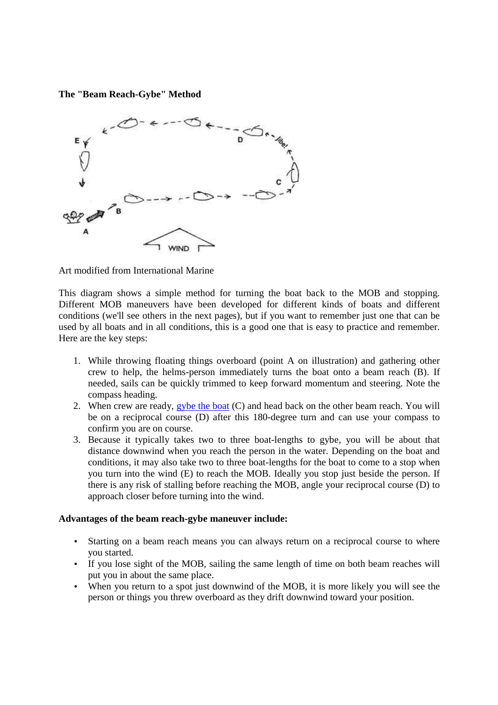**The "Beam Reach-Gybe" Method** 



Art modified from International Marine

This diagram shows a simple method for turning the boat back to the MOB and stopping. Different MOB maneuvers have been developed for different kinds of boats and different conditions (we'll see others in the next pages), but if you want to remember just one that can be used by all boats and in all conditions, this is a good one that is easy to practice and remember. Here are the key steps:

- 1. While throwing floating things overboard (point A on illustration) and gathering other crew to help, the helms-person immediately turns the boat onto a beam reach (B). If needed, sails can be quickly trimmed to keep forward momentum and steering. Note the compass heading.
- 2. When crew are ready, gybe the **boat**  $(C)$  and head back on the other beam reach. You will be on a reciprocal course (D) after this 180-degree turn and can use your compass to confirm you are on course.
- 3. Because it typically takes two to three boat-lengths to gybe, you will be about that distance downwind when you reach the person in the water. Depending on the boat and conditions, it may also take two to three boat-lengths for the boat to come to a stop when you turn into the wind (E) to reach the MOB. Ideally you stop just beside the person. If there is any risk of stalling before reaching the MOB, angle your reciprocal course (D) to approach closer before turning into the wind.

# **Advantages of the beam reach-gybe maneuver include:**

- Starting on a beam reach means you can always return on a reciprocal course to where you started.
- If you lose sight of the MOB, sailing the same length of time on both beam reaches will put you in about the same place.
- When you return to a spot just downwind of the MOB, it is more likely you will see the person or things you threw overboard as they drift downwind toward your position.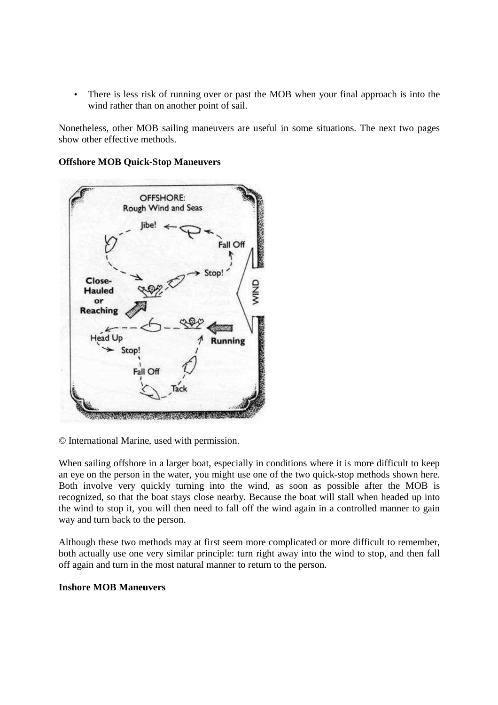• There is less risk of running over or past the MOB when your final approach is into the wind rather than on another point of sail.

Nonetheless, other MOB sailing maneuvers are useful in some situations. The next two pages show other effective methods.

# OFFSHORE: Rough Wind and Seas Fall Of Close-QNIV **Hauled** or **Reaching** ead Up **Running** Stop! Fall Of

#### **Offshore MOB Quick-Stop Maneuvers**

© International Marine, used with permission.

When sailing offshore in a larger boat, especially in conditions where it is more difficult to keep an eye on the person in the water, you might use one of the two quick-stop methods shown here. Both involve very quickly turning into the wind, as soon as possible after the MOB is recognized, so that the boat stays close nearby. Because the boat will stall when headed up into the wind to stop it, you will then need to fall off the wind again in a controlled manner to gain way and turn back to the person.

Although these two methods may at first seem more complicated or more difficult to remember, both actually use one very similar principle: turn right away into the wind to stop, and then fall off again and turn in the most natural manner to return to the person.

# **Inshore MOB Maneuvers**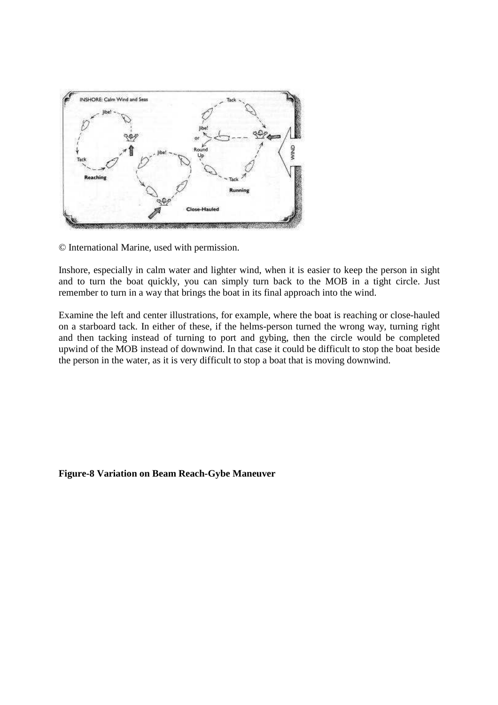

© International Marine, used with permission.

Inshore, especially in calm water and lighter wind, when it is easier to keep the person in sight and to turn the boat quickly, you can simply turn back to the MOB in a tight circle. Just remember to turn in a way that brings the boat in its final approach into the wind.

Examine the left and center illustrations, for example, where the boat is reaching or close-hauled on a starboard tack. In either of these, if the helms-person turned the wrong way, turning right and then tacking instead of turning to port and gybing, then the circle would be completed upwind of the MOB instead of downwind. In that case it could be difficult to stop the boat beside the person in the water, as it is very difficult to stop a boat that is moving downwind.

#### **Figure-8 Variation on Beam Reach-Gybe Maneuver**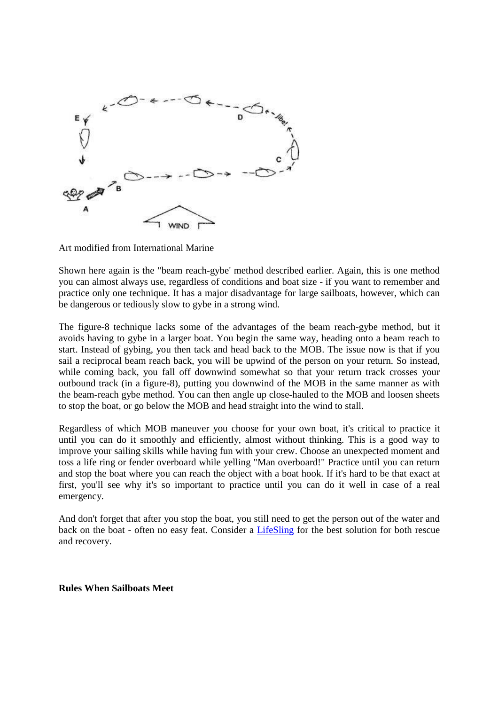

Art modified from International Marine

Shown here again is the "beam reach-gybe' method described earlier. Again, this is one method you can almost always use, regardless of conditions and boat size - if you want to remember and practice only one technique. It has a major disadvantage for large sailboats, however, which can be dangerous or tediously slow to gybe in a strong wind.

The figure-8 technique lacks some of the advantages of the beam reach-gybe method, but it avoids having to gybe in a larger boat. You begin the same way, heading onto a beam reach to start. Instead of gybing, you then tack and head back to the MOB. The issue now is that if you sail a reciprocal beam reach back, you will be upwind of the person on your return. So instead, while coming back, you fall off downwind somewhat so that your return track crosses your outbound track (in a figure-8), putting you downwind of the MOB in the same manner as with the beam-reach gybe method. You can then angle up close-hauled to the MOB and loosen sheets to stop the boat, or go below the MOB and head straight into the wind to stall.

Regardless of which MOB maneuver you choose for your own boat, it's critical to practice it until you can do it smoothly and efficiently, almost without thinking. This is a good way to improve your sailing skills while having fun with your crew. Choose an unexpected moment and toss a life ring or fender overboard while yelling "Man overboard!" Practice until you can return and stop the boat where you can reach the object with a boat hook. If it's hard to be that exact at first, you'll see why it's so important to practice until you can do it well in case of a real emergency.

And don't forget that after you stop the boat, you still need to get the person out of the water and back on the boat - often no easy feat. Consider a **LifeSling** for the best solution for both rescue and recovery.

**Rules When Sailboats Meet**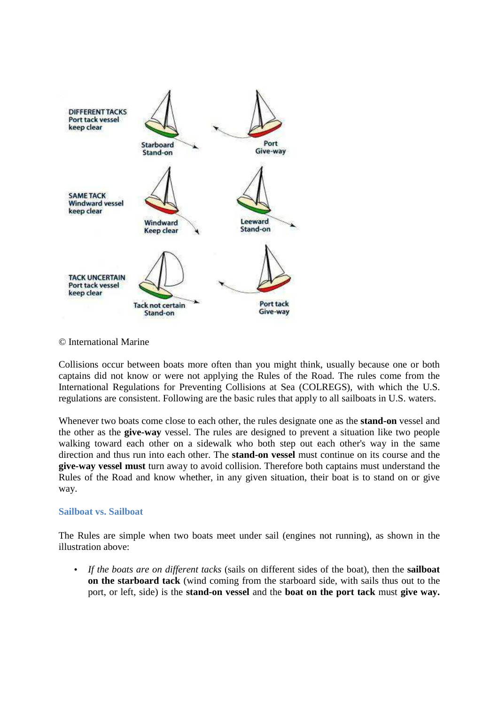

#### © International Marine

Collisions occur between boats more often than you might think, usually because one or both captains did not know or were not applying the Rules of the Road. The rules come from the International Regulations for Preventing Collisions at Sea (COLREGS), with which the U.S. regulations are consistent. Following are the basic rules that apply to all sailboats in U.S. waters.

Whenever two boats come close to each other, the rules designate one as the **stand-on** vessel and the other as the **give-way** vessel. The rules are designed to prevent a situation like two people walking toward each other on a sidewalk who both step out each other's way in the same direction and thus run into each other. The **stand-on vessel** must continue on its course and the **give-way vessel must** turn away to avoid collision. Therefore both captains must understand the Rules of the Road and know whether, in any given situation, their boat is to stand on or give way.

#### **Sailboat vs. Sailboat**

The Rules are simple when two boats meet under sail (engines not running), as shown in the illustration above:

• *If the boats are on different tacks* (sails on different sides of the boat), then the **sailboat on the starboard tack** (wind coming from the starboard side, with sails thus out to the port, or left, side) is the **stand-on vessel** and the **boat on the port tack** must **give way.**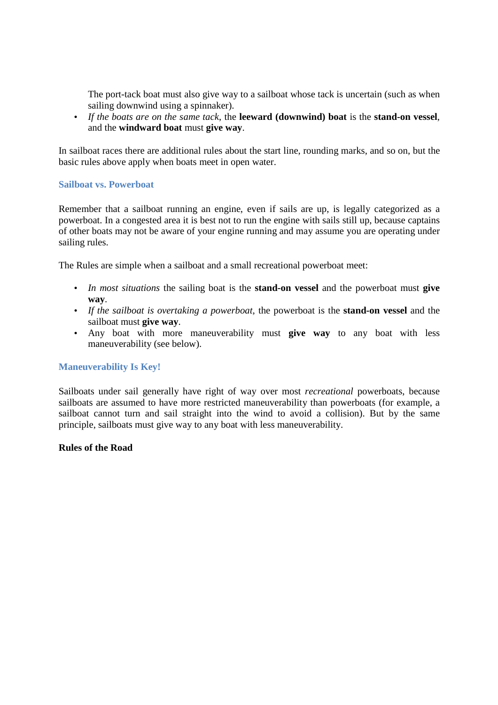The port-tack boat must also give way to a sailboat whose tack is uncertain (such as when sailing downwind using a spinnaker).

• *If the boats are on the same tack*, the **leeward (downwind) boat** is the **stand-on vessel**, and the **windward boat** must **give way**.

In sailboat races there are additional rules about the start line, rounding marks, and so on, but the basic rules above apply when boats meet in open water.

#### **Sailboat vs. Powerboat**

Remember that a sailboat running an engine, even if sails are up, is legally categorized as a powerboat. In a congested area it is best not to run the engine with sails still up, because captains of other boats may not be aware of your engine running and may assume you are operating under sailing rules.

The Rules are simple when a sailboat and a small recreational powerboat meet:

- *In most situations* the sailing boat is the **stand-on vessel** and the powerboat must **give way**.
- *If the sailboat is overtaking a powerboat*, the powerboat is the **stand-on vessel** and the sailboat must **give way**.
- Any boat with more maneuverability must **give way** to any boat with less maneuverability (see below).

#### **Maneuverability Is Key!**

Sailboats under sail generally have right of way over most *recreational* powerboats, because sailboats are assumed to have more restricted maneuverability than powerboats (for example, a sailboat cannot turn and sail straight into the wind to avoid a collision). But by the same principle, sailboats must give way to any boat with less maneuverability.

#### **Rules of the Road**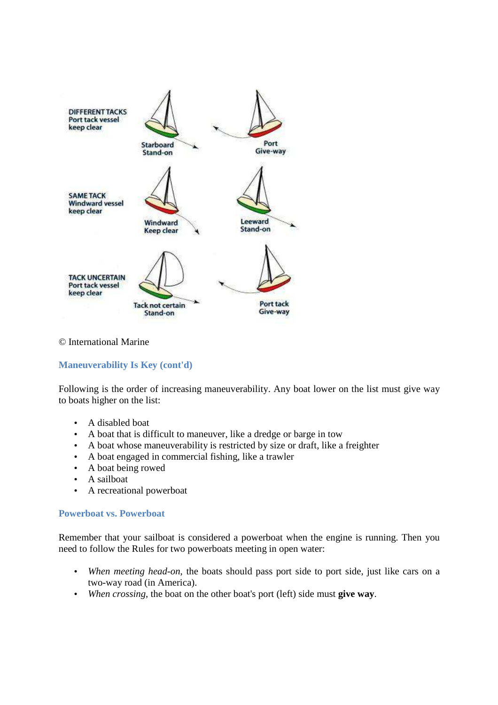

#### © International Marine

# **Maneuverability Is Key (cont'd)**

Following is the order of increasing maneuverability. Any boat lower on the list must give way to boats higher on the list:

- A disabled boat
- A boat that is difficult to maneuver, like a dredge or barge in tow
- A boat whose maneuverability is restricted by size or draft, like a freighter
- A boat engaged in commercial fishing, like a trawler
- A boat being rowed
- A sailboat
- A recreational powerboat

#### **Powerboat vs. Powerboat**

Remember that your sailboat is considered a powerboat when the engine is running. Then you need to follow the Rules for two powerboats meeting in open water:

- *When meeting head-on*, the boats should pass port side to port side, just like cars on a two-way road (in America).
- *When crossing*, the boat on the other boat's port (left) side must **give way**.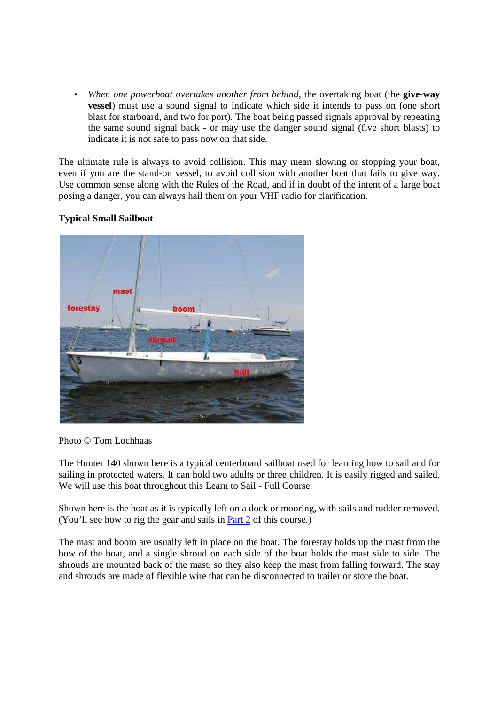• *When one powerboat overtakes another from behind*, the overtaking boat (the **give-way vessel**) must use a sound signal to indicate which side it intends to pass on (one short blast for starboard, and two for port). The boat being passed signals approval by repeating the same sound signal back - or may use the danger sound signal (five short blasts) to indicate it is not safe to pass now on that side.

The ultimate rule is always to avoid collision. This may mean slowing or stopping your boat, even if you are the stand-on vessel, to avoid collision with another boat that fails to give way. Use common sense along with the Rules of the Road, and if in doubt of the intent of a large boat posing a danger, you can always hail them on your VHF radio for clarification.

# **Typical Small Sailboat**



Photo © Tom Lochhaas

The Hunter 140 shown here is a typical centerboard sailboat used for learning how to sail and for sailing in protected waters. It can hold two adults or three children. It is easily rigged and sailed. We will use this boat throughout this Learn to Sail - Full Course.

Shown here is the boat as it is typically left on a dock or mooring, with sails and rudder removed. (You'll see how to rig the gear and sails in Part 2 of this course.)

The mast and boom are usually left in place on the boat. The forestay holds up the mast from the bow of the boat, and a single shroud on each side of the boat holds the mast side to side. The shrouds are mounted back of the mast, so they also keep the mast from falling forward. The stay and shrouds are made of flexible wire that can be disconnected to trailer or store the boat.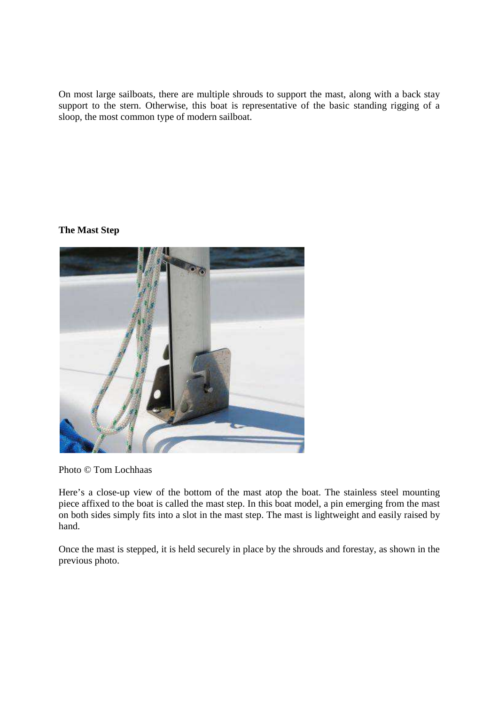On most large sailboats, there are multiple shrouds to support the mast, along with a back stay support to the stern. Otherwise, this boat is representative of the basic standing rigging of a sloop, the most common type of modern sailboat.

# **The Mast Step**



Photo © Tom Lochhaas

Here's a close-up view of the bottom of the mast atop the boat. The stainless steel mounting piece affixed to the boat is called the mast step. In this boat model, a pin emerging from the mast on both sides simply fits into a slot in the mast step. The mast is lightweight and easily raised by hand.

Once the mast is stepped, it is held securely in place by the shrouds and forestay, as shown in the previous photo.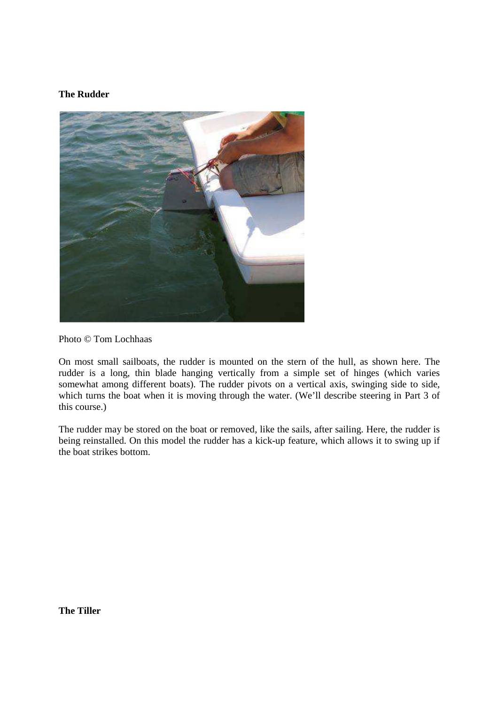# **The Rudder**



Photo © Tom Lochhaas

On most small sailboats, the rudder is mounted on the stern of the hull, as shown here. The rudder is a long, thin blade hanging vertically from a simple set of hinges (which varies somewhat among different boats). The rudder pivots on a vertical axis, swinging side to side, which turns the boat when it is moving through the water. (We'll describe steering in Part 3 of this course.)

The rudder may be stored on the boat or removed, like the sails, after sailing. Here, the rudder is being reinstalled. On this model the rudder has a kick-up feature, which allows it to swing up if the boat strikes bottom.

**The Tiller**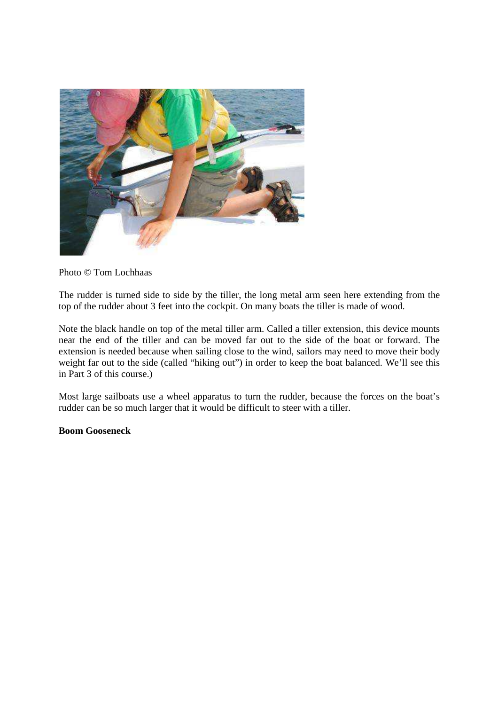

Photo © Tom Lochhaas

The rudder is turned side to side by the tiller, the long metal arm seen here extending from the top of the rudder about 3 feet into the cockpit. On many boats the tiller is made of wood.

Note the black handle on top of the metal tiller arm. Called a tiller extension, this device mounts near the end of the tiller and can be moved far out to the side of the boat or forward. The extension is needed because when sailing close to the wind, sailors may need to move their body weight far out to the side (called "hiking out") in order to keep the boat balanced. We'll see this in Part 3 of this course.)

Most large sailboats use a wheel apparatus to turn the rudder, because the forces on the boat's rudder can be so much larger that it would be difficult to steer with a tiller.

# **Boom Gooseneck**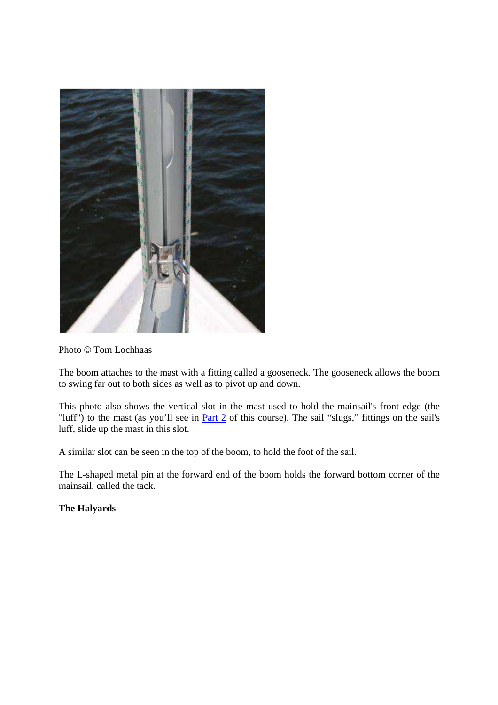

Photo © Tom Lochhaas

The boom attaches to the mast with a fitting called a gooseneck. The gooseneck allows the boom to swing far out to both sides as well as to pivot up and down.

This photo also shows the vertical slot in the mast used to hold the mainsail's front edge (the "luff") to the mast (as you'll see in Part 2 of this course). The sail "slugs," fittings on the sail's luff, slide up the mast in this slot.

A similar slot can be seen in the top of the boom, to hold the foot of the sail.

The L-shaped metal pin at the forward end of the boom holds the forward bottom corner of the mainsail, called the tack.

**The Halyards**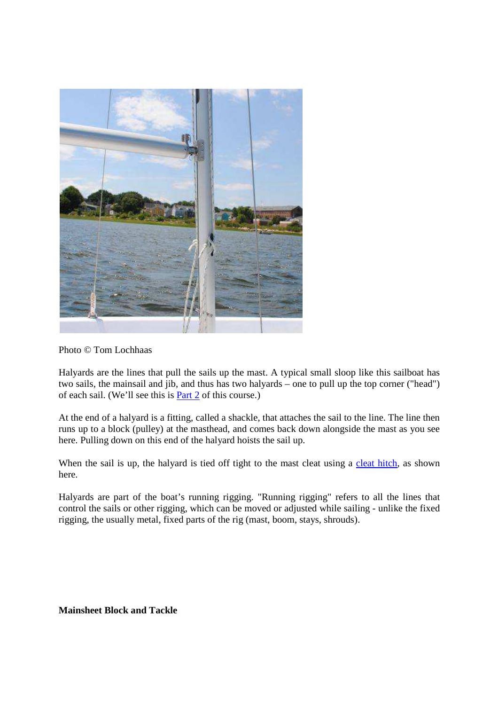

Photo © Tom Lochhaas

Halyards are the lines that pull the sails up the mast. A typical small sloop like this sailboat has two sails, the mainsail and jib, and thus has two halyards – one to pull up the top corner ("head") of each sail. (We'll see this is Part 2 of this course.)

At the end of a halyard is a fitting, called a shackle, that attaches the sail to the line. The line then runs up to a block (pulley) at the masthead, and comes back down alongside the mast as you see here. Pulling down on this end of the halyard hoists the sail up.

When the sail is up, the halyard is tied off tight to the mast cleat using a cleat hitch, as shown here.

Halyards are part of the boat's running rigging. "Running rigging" refers to all the lines that control the sails or other rigging, which can be moved or adjusted while sailing - unlike the fixed rigging, the usually metal, fixed parts of the rig (mast, boom, stays, shrouds).

**Mainsheet Block and Tackle**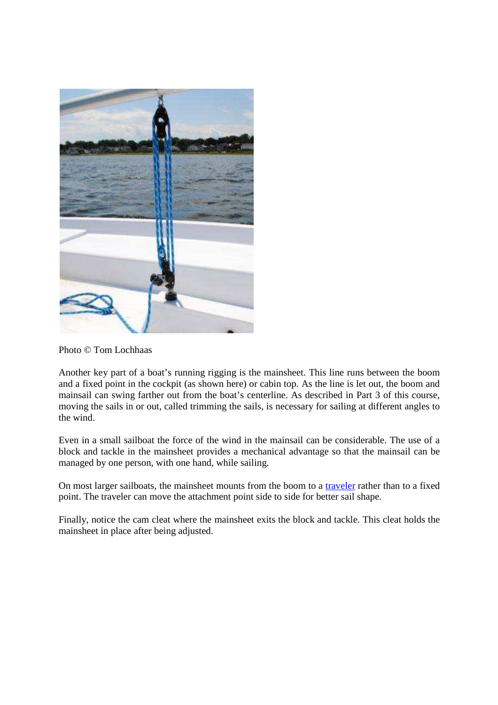

Photo © Tom Lochhaas

Another key part of a boat's running rigging is the mainsheet. This line runs between the boom and a fixed point in the cockpit (as shown here) or cabin top. As the line is let out, the boom and mainsail can swing farther out from the boat's centerline. As described in Part 3 of this course, moving the sails in or out, called trimming the sails, is necessary for sailing at different angles to the wind.

Even in a small sailboat the force of the wind in the mainsail can be considerable. The use of a block and tackle in the mainsheet provides a mechanical advantage so that the mainsail can be managed by one person, with one hand, while sailing.

On most larger sailboats, the mainsheet mounts from the boom to a traveler rather than to a fixed point. The traveler can move the attachment point side to side for better sail shape.

Finally, notice the cam cleat where the mainsheet exits the block and tackle. This cleat holds the mainsheet in place after being adjusted.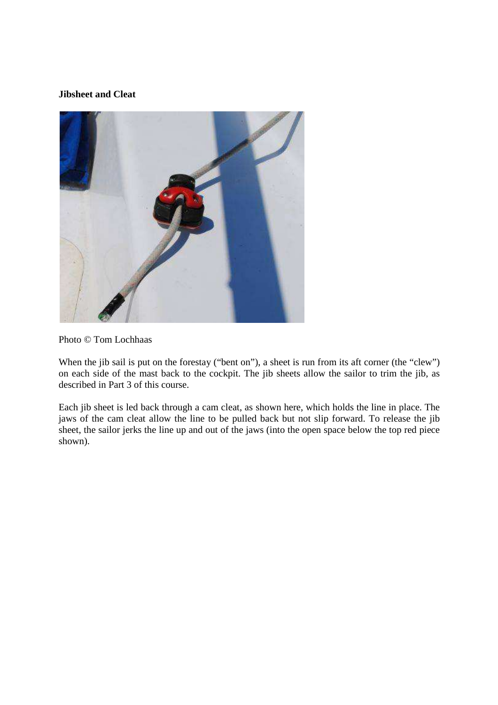# **Jibsheet and Cleat**



Photo © Tom Lochhaas

When the jib sail is put on the forestay ("bent on"), a sheet is run from its aft corner (the "clew") on each side of the mast back to the cockpit. The jib sheets allow the sailor to trim the jib, as described in Part 3 of this course.

Each jib sheet is led back through a cam cleat, as shown here, which holds the line in place. The jaws of the cam cleat allow the line to be pulled back but not slip forward. To release the jib sheet, the sailor jerks the line up and out of the jaws (into the open space below the top red piece shown).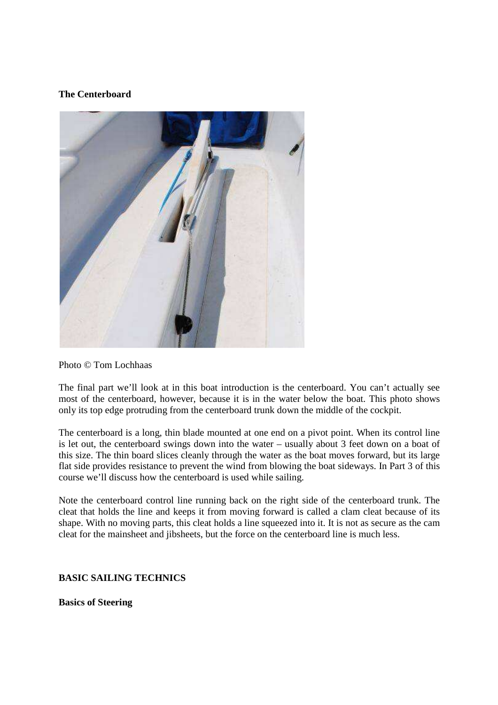# **The Centerboard**



#### Photo © Tom Lochhaas

The final part we'll look at in this boat introduction is the centerboard. You can't actually see most of the centerboard, however, because it is in the water below the boat. This photo shows only its top edge protruding from the centerboard trunk down the middle of the cockpit.

The centerboard is a long, thin blade mounted at one end on a pivot point. When its control line is let out, the centerboard swings down into the water – usually about 3 feet down on a boat of this size. The thin board slices cleanly through the water as the boat moves forward, but its large flat side provides resistance to prevent the wind from blowing the boat sideways. In Part 3 of this course we'll discuss how the centerboard is used while sailing.

Note the centerboard control line running back on the right side of the centerboard trunk. The cleat that holds the line and keeps it from moving forward is called a clam cleat because of its shape. With no moving parts, this cleat holds a line squeezed into it. It is not as secure as the cam cleat for the mainsheet and jibsheets, but the force on the centerboard line is much less.

# **BASIC SAILING TECHNICS**

**Basics of Steering**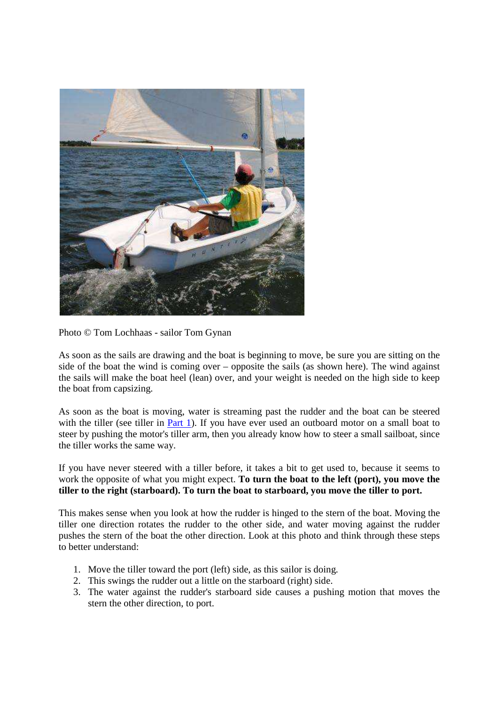

Photo © Tom Lochhaas - sailor Tom Gynan

As soon as the sails are drawing and the boat is beginning to move, be sure you are sitting on the side of the boat the wind is coming over – opposite the sails (as shown here). The wind against the sails will make the boat heel (lean) over, and your weight is needed on the high side to keep the boat from capsizing.

As soon as the boat is moving, water is streaming past the rudder and the boat can be steered with the tiller (see tiller in Part 1). If you have ever used an outboard motor on a small boat to steer by pushing the motor's tiller arm, then you already know how to steer a small sailboat, since the tiller works the same way.

If you have never steered with a tiller before, it takes a bit to get used to, because it seems to work the opposite of what you might expect. **To turn the boat to the left (port), you move the tiller to the right (starboard). To turn the boat to starboard, you move the tiller to port.**

This makes sense when you look at how the rudder is hinged to the stern of the boat. Moving the tiller one direction rotates the rudder to the other side, and water moving against the rudder pushes the stern of the boat the other direction. Look at this photo and think through these steps to better understand:

- 1. Move the tiller toward the port (left) side, as this sailor is doing.
- 2. This swings the rudder out a little on the starboard (right) side.
- 3. The water against the rudder's starboard side causes a pushing motion that moves the stern the other direction, to port.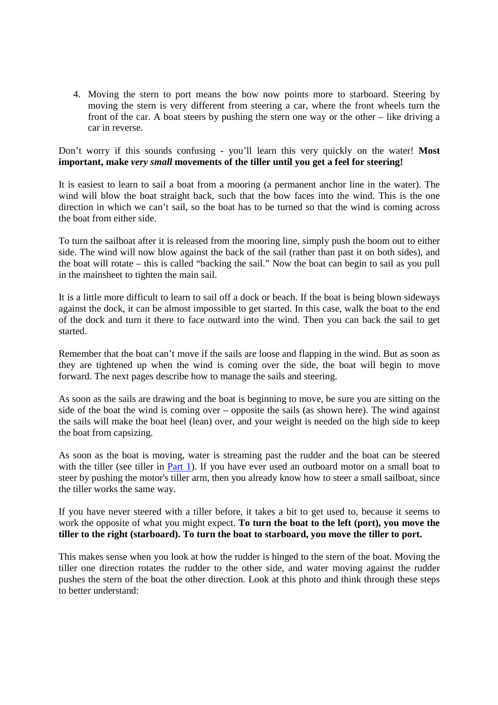4. Moving the stern to port means the bow now points more to starboard. Steering by moving the stern is very different from steering a car, where the front wheels turn the front of the car. A boat steers by pushing the stern one way or the other – like driving a car in reverse.

Don't worry if this sounds confusing - you'll learn this very quickly on the water! **Most important, make** *very small* **movements of the tiller until you get a feel for steering!**

It is easiest to learn to sail a boat from a mooring (a permanent anchor line in the water). The wind will blow the boat straight back, such that the bow faces into the wind. This is the one direction in which we can't sail, so the boat has to be turned so that the wind is coming across the boat from either side.

To turn the sailboat after it is released from the mooring line, simply push the boom out to either side. The wind will now blow against the back of the sail (rather than past it on both sides), and the boat will rotate – this is called "backing the sail." Now the boat can begin to sail as you pull in the mainsheet to tighten the main sail.

It is a little more difficult to learn to sail off a dock or beach. If the boat is being blown sideways against the dock, it can be almost impossible to get started. In this case, walk the boat to the end of the dock and turn it there to face outward into the wind. Then you can back the sail to get started.

Remember that the boat can't move if the sails are loose and flapping in the wind. But as soon as they are tightened up when the wind is coming over the side, the boat will begin to move forward. The next pages describe how to manage the sails and steering.

As soon as the sails are drawing and the boat is beginning to move, be sure you are sitting on the side of the boat the wind is coming over – opposite the sails (as shown here). The wind against the sails will make the boat heel (lean) over, and your weight is needed on the high side to keep the boat from capsizing.

As soon as the boat is moving, water is streaming past the rudder and the boat can be steered with the tiller (see tiller in Part 1). If you have ever used an outboard motor on a small boat to steer by pushing the motor's tiller arm, then you already know how to steer a small sailboat, since the tiller works the same way.

If you have never steered with a tiller before, it takes a bit to get used to, because it seems to work the opposite of what you might expect. **To turn the boat to the left (port), you move the tiller to the right (starboard). To turn the boat to starboard, you move the tiller to port.**

This makes sense when you look at how the rudder is hinged to the stern of the boat. Moving the tiller one direction rotates the rudder to the other side, and water moving against the rudder pushes the stern of the boat the other direction. Look at this photo and think through these steps to better understand: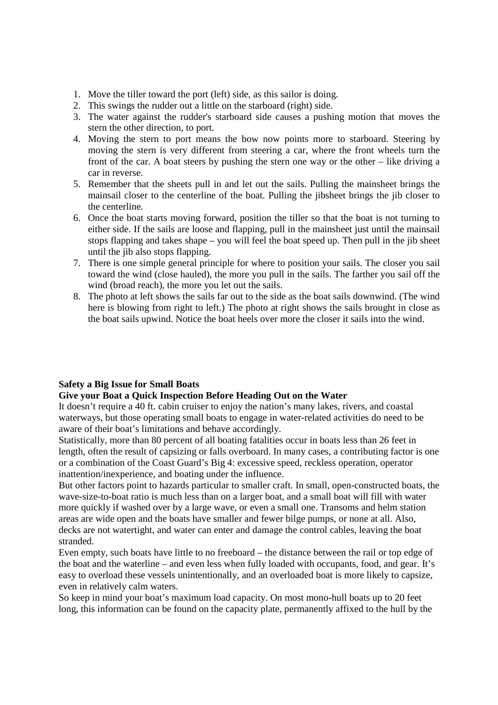- 1. Move the tiller toward the port (left) side, as this sailor is doing.
- 2. This swings the rudder out a little on the starboard (right) side.
- 3. The water against the rudder's starboard side causes a pushing motion that moves the stern the other direction, to port.
- 4. Moving the stern to port means the bow now points more to starboard. Steering by moving the stern is very different from steering a car, where the front wheels turn the front of the car. A boat steers by pushing the stern one way or the other – like driving a car in reverse.
- 5. Remember that the sheets pull in and let out the sails. Pulling the mainsheet brings the mainsail closer to the centerline of the boat. Pulling the jibsheet brings the jib closer to the centerline.
- 6. Once the boat starts moving forward, position the tiller so that the boat is not turning to either side. If the sails are loose and flapping, pull in the mainsheet just until the mainsail stops flapping and takes shape – you will feel the boat speed up. Then pull in the jib sheet until the jib also stops flapping.
- 7. There is one simple general principle for where to position your sails. The closer you sail toward the wind (close hauled), the more you pull in the sails. The farther you sail off the wind (broad reach), the more you let out the sails.
- 8. The photo at left shows the sails far out to the side as the boat sails downwind. (The wind here is blowing from right to left.) The photo at right shows the sails brought in close as the boat sails upwind. Notice the boat heels over more the closer it sails into the wind.

# **Safety a Big Issue for Small Boats**

# **Give your Boat a Quick Inspection Before Heading Out on the Water**

It doesn't require a 40 ft. cabin cruiser to enjoy the nation's many lakes, rivers, and coastal waterways, but those operating small boats to engage in water-related activities do need to be aware of their boat's limitations and behave accordingly.

Statistically, more than 80 percent of all boating fatalities occur in boats less than 26 feet in length, often the result of capsizing or falls overboard. In many cases, a contributing factor is one or a combination of the Coast Guard's Big 4: excessive speed, reckless operation, operator inattention/inexperience, and boating under the influence.

But other factors point to hazards particular to smaller craft. In small, open-constructed boats, the wave-size-to-boat ratio is much less than on a larger boat, and a small boat will fill with water more quickly if washed over by a large wave, or even a small one. Transoms and helm station areas are wide open and the boats have smaller and fewer bilge pumps, or none at all. Also, decks are not watertight, and water can enter and damage the control cables, leaving the boat stranded.

Even empty, such boats have little to no freeboard – the distance between the rail or top edge of the boat and the waterline – and even less when fully loaded with occupants, food, and gear. It's easy to overload these vessels unintentionally, and an overloaded boat is more likely to capsize, even in relatively calm waters.

So keep in mind your boat's maximum load capacity. On most mono-hull boats up to 20 feet long, this information can be found on the capacity plate, permanently affixed to the hull by the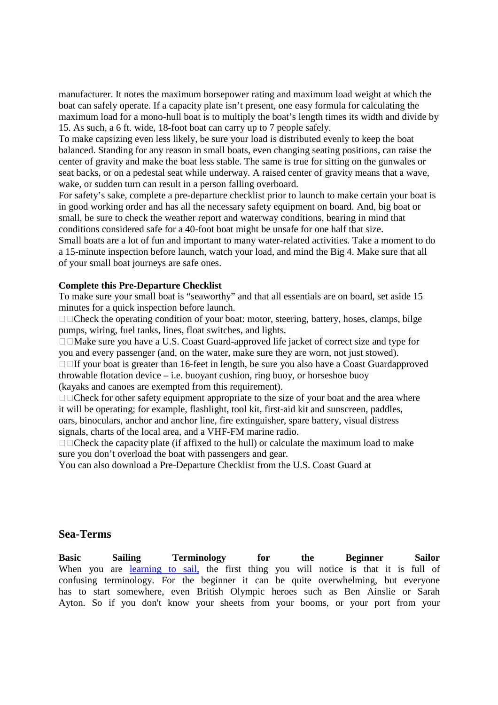manufacturer. It notes the maximum horsepower rating and maximum load weight at which the boat can safely operate. If a capacity plate isn't present, one easy formula for calculating the maximum load for a mono-hull boat is to multiply the boat's length times its width and divide by 15. As such, a 6 ft. wide, 18-foot boat can carry up to 7 people safely.

To make capsizing even less likely, be sure your load is distributed evenly to keep the boat balanced. Standing for any reason in small boats, even changing seating positions, can raise the center of gravity and make the boat less stable. The same is true for sitting on the gunwales or seat backs, or on a pedestal seat while underway. A raised center of gravity means that a wave, wake, or sudden turn can result in a person falling overboard.

For safety's sake, complete a pre-departure checklist prior to launch to make certain your boat is in good working order and has all the necessary safety equipment on board. And, big boat or small, be sure to check the weather report and waterway conditions, bearing in mind that conditions considered safe for a 40-foot boat might be unsafe for one half that size.

Small boats are a lot of fun and important to many water-related activities. Take a moment to do a 15-minute inspection before launch, watch your load, and mind the Big 4. Make sure that all of your small boat journeys are safe ones.

#### **Complete this Pre-Departure Checklist**

To make sure your small boat is "seaworthy" and that all essentials are on board, set aside 15 minutes for a quick inspection before launch.

Check the operating condition of your boat: motor, steering, battery, hoses, clamps, bilge pumps, wiring, fuel tanks, lines, float switches, and lights.

Make sure you have a U.S. Coast Guard-approved life jacket of correct size and type for you and every passenger (and, on the water, make sure they are worn, not just stowed).

If your boat is greater than 16-feet in length, be sure you also have a Coast Guardapproved throwable flotation device – i.e. buoyant cushion, ring buoy, or horseshoe buoy (kayaks and canoes are exempted from this requirement).

Check for other safety equipment appropriate to the size of your boat and the area where it will be operating; for example, flashlight, tool kit, first-aid kit and sunscreen, paddles, oars, binoculars, anchor and anchor line, fire extinguisher, spare battery, visual distress signals, charts of the local area, and a VHF-FM marine radio.

Check the capacity plate (if affixed to the hull) or calculate the maximum load to make sure you don't overload the boat with passengers and gear.

You can also download a Pre-Departure Checklist from the U.S. Coast Guard at

#### **Sea-Terms**

**Basic Sailing Terminology for the Beginner Sailor** When you are learning to sail, the first thing you will notice is that it is full of confusing terminology. For the beginner it can be quite overwhelming, but everyone has to start somewhere, even British Olympic heroes such as Ben Ainslie or Sarah Ayton. So if you don't know your sheets from your booms, or your port from your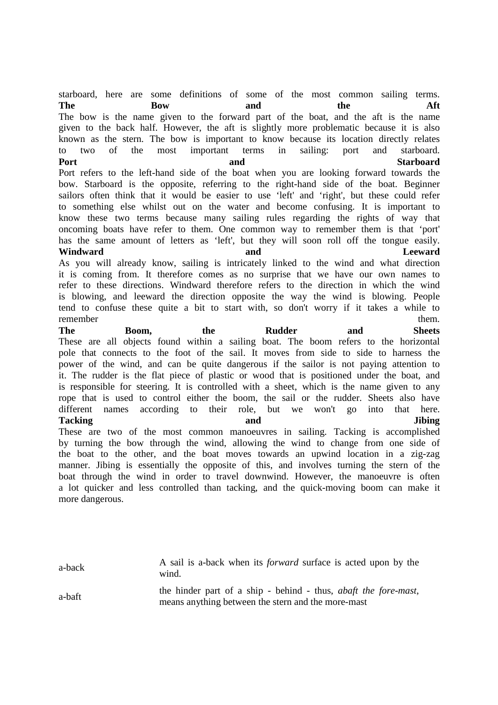starboard, here are some definitions of some of the most common sailing terms. **The Bow and the Aft** The bow is the name given to the forward part of the boat, and the aft is the name given to the back half. However, the aft is slightly more problematic because it is also known as the stern. The bow is important to know because its location directly relates to two of the most important terms in sailing: port and starboard. Port Starboard and Starboard Port refers to the left-hand side of the boat when you are looking forward towards the bow. Starboard is the opposite, referring to the right-hand side of the boat. Beginner sailors often think that it would be easier to use 'left' and 'right', but these could refer to something else whilst out on the water and become confusing. It is important to know these two terms because many sailing rules regarding the rights of way that oncoming boats have refer to them. One common way to remember them is that 'port' has the same amount of letters as 'left', but they will soon roll off the tongue easily. **Windward and Leeward** As you will already know, sailing is intricately linked to the wind and what direction it is coming from. It therefore comes as no surprise that we have our own names to refer to these directions. Windward therefore refers to the direction in which the wind is blowing, and leeward the direction opposite the way the wind is blowing. People tend to confuse these quite a bit to start with, so don't worry if it takes a while to remember them. **The Boom, the Rudder and Sheets**

These are all objects found within a sailing boat. The boom refers to the horizontal pole that connects to the foot of the sail. It moves from side to side to harness the power of the wind, and can be quite dangerous if the sailor is not paying attention to it. The rudder is the flat piece of plastic or wood that is positioned under the boat, and is responsible for steering. It is controlled with a sheet, which is the name given to any rope that is used to control either the boom, the sail or the rudder. Sheets also have different names according to their role, but we won't go into that here. **Tacking and Jibing** These are two of the most common manoeuvres in sailing. Tacking is accomplished

by turning the bow through the wind, allowing the wind to change from one side of the boat to the other, and the boat moves towards an upwind location in a zig-zag manner. Jibing is essentially the opposite of this, and involves turning the stern of the boat through the wind in order to travel downwind. However, the manoeuvre is often a lot quicker and less controlled than tacking, and the quick-moving boom can make it more dangerous.

a-back A sail is a-back when its *forward* surface is acted upon by the wind.

a-baft the hinder part of a ship - behind - thus, *abaft the fore-mast*, means anything between the stern and the more-mast